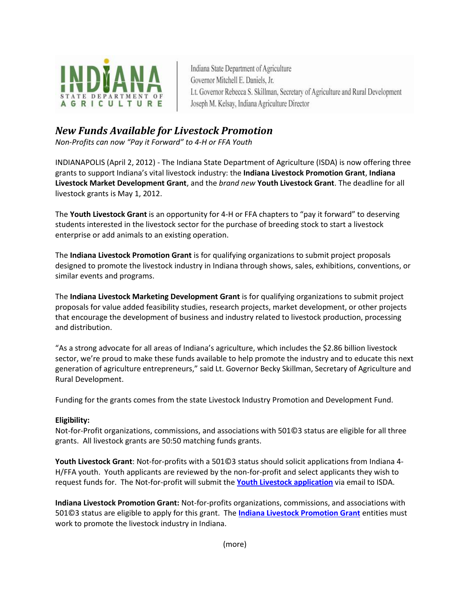

Indiana State Department of Agriculture Governor Mitchell E. Daniels, Jr. Lt. Governor Rebecca S. Skillman, Secretary of Agriculture and Rural Development Joseph M. Kelsay, Indiana Agriculture Director

## *New Funds Available for Livestock Promotion*

*Non-Profits can now "Pay it Forward" to 4-H or FFA Youth*

INDIANAPOLIS (April 2, 2012) - The Indiana State Department of Agriculture (ISDA) is now offering three grants to support Indiana's vital livestock industry: the **Indiana Livestock Promotion Grant**, **Indiana Livestock Market Development Grant**, and the *brand new* **Youth Livestock Grant**. The deadline for all livestock grants is May 1, 2012.

The **Youth Livestock Grant** is an opportunity for 4-H or FFA chapters to "pay it forward" to deserving students interested in the livestock sector for the purchase of breeding stock to start a livestock enterprise or add animals to an existing operation.

The **Indiana Livestock Promotion Grant** is for qualifying organizations to submit project proposals designed to promote the livestock industry in Indiana through shows, sales, exhibitions, conventions, or similar events and programs.

The **Indiana Livestock Marketing Development Grant** is for qualifying organizations to submit project proposals for value added feasibility studies, research projects, market development, or other projects that encourage the development of business and industry related to livestock production, processing and distribution.

"As a strong advocate for all areas of Indiana's agriculture, which includes the \$2.86 billion livestock sector, we're proud to make these funds available to help promote the industry and to educate this next generation of agriculture entrepreneurs," said Lt. Governor Becky Skillman, Secretary of Agriculture and Rural Development.

Funding for the grants comes from the state Livestock Industry Promotion and Development Fund.

## **Eligibility:**

Not-for-Profit organizations, commissions, and associations with 501©3 status are eligible for all three grants. All livestock grants are 50:50 matching funds grants.

**Youth Livestock Grant**: Not-for-profits with a 501©3 status should solicit applications from Indiana 4- H/FFA youth. Youth applicants are reviewed by the non-for-profit and select applicants they wish to request funds for. The Not-for-profit will submit the **[Youth Livestock application](http://www.in.gov/isda/files/Livestock_Youth_Grant_032212.pdf)** via email to ISDA.

**Indiana Livestock Promotion Grant:** Not-for-profits organizations, commissions, and associations with 501©3 status are eligible to apply for this grant. The **[Indiana Livestock Promotion Grant](http://www.in.gov/isda/files/Livestock_Grant_Application.pdf)** entities must work to promote the livestock industry in Indiana.

(more)